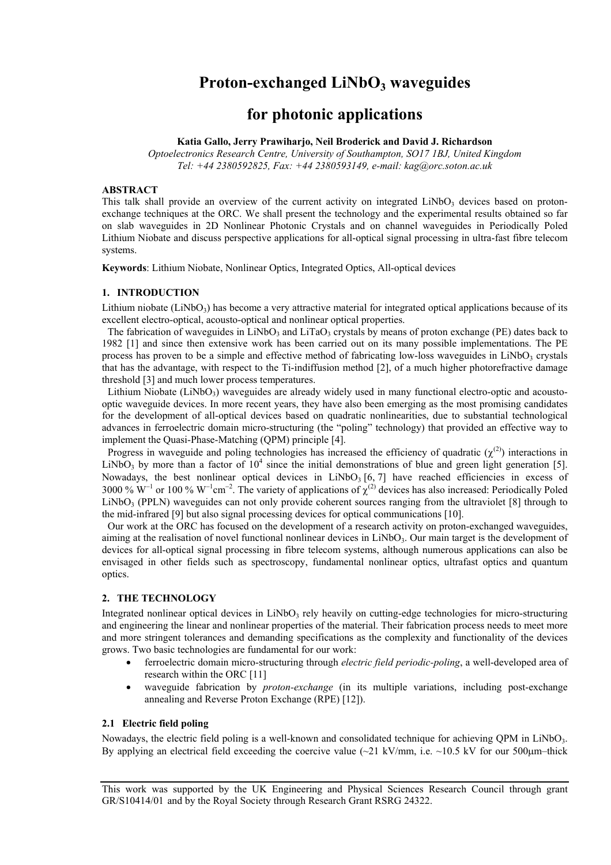# **Proton-exchanged LiNbO<sub>3</sub> waveguides**

# **for photonic applications**

# **Katia Gallo, Jerry Prawiharjo, Neil Broderick and David J. Richardson**

*Optoelectronics Research Centre, University of Southampton, SO17 1BJ, United Kingdom Tel: +44 2380592825, Fax: +44 2380593149, e-mail: kag@orc.soton.ac.uk* 

#### **ABSTRACT**

This talk shall provide an overview of the current activity on integrated  $LiNbO<sub>3</sub>$  devices based on protonexchange techniques at the ORC. We shall present the technology and the experimental results obtained so far on slab waveguides in 2D Nonlinear Photonic Crystals and on channel waveguides in Periodically Poled Lithium Niobate and discuss perspective applications for all-optical signal processing in ultra-fast fibre telecom systems.

**Keywords**: Lithium Niobate, Nonlinear Optics, Integrated Optics, All-optical devices

# **1. INTRODUCTION**

Lithium niobate (LiNbO<sub>3</sub>) has become a very attractive material for integrated optical applications because of its excellent electro-optical, acousto-optical and nonlinear optical properties.

The fabrication of waveguides in LiNbO<sub>3</sub> and LiTaO<sub>3</sub> crystals by means of proton exchange (PE) dates back to 1982 [1] and since then extensive work has been carried out on its many possible implementations. The PE process has proven to be a simple and effective method of fabricating low-loss waveguides in  $LiNbO<sub>3</sub>$  crystals that has the advantage, with respect to the Ti-indiffusion method [2], of a much higher photorefractive damage threshold [3] and much lower process temperatures.

Lithium Niobate (LiNbO<sub>3</sub>) waveguides are already widely used in many functional electro-optic and acoustooptic waveguide devices. In more recent years, they have also been emerging as the most promising candidates for the development of all-optical devices based on quadratic nonlinearities, due to substantial technological advances in ferroelectric domain micro-structuring (the "poling" technology) that provided an effective way to implement the Quasi-Phase-Matching (QPM) principle [4].

Progress in waveguide and poling technologies has increased the efficiency of quadratic  $(\chi^{(2)})$  interactions in LiNbO<sub>3</sub> by more than a factor of  $10^4$  since the initial demonstrations of blue and green light generation [5]. Nowadays, the best nonlinear optical devices in LiNbO<sub>3</sub> [6, 7] have reached efficiencies in excess of 3000 % W<sup>-1</sup> or 100 % W<sup>-1</sup>cm<sup>-2</sup>. The variety of applications of  $\chi^{(2)}$  devices has also increased: Periodically Poled LiNbO<sub>3</sub> (PPLN) waveguides can not only provide coherent sources ranging from the ultraviolet [8] through to the mid-infrared [9] but also signal processing devices for optical communications [10].

Our work at the ORC has focused on the development of a research activity on proton-exchanged waveguides, aiming at the realisation of novel functional nonlinear devices in LiNbO<sub>3</sub>. Our main target is the development of devices for all-optical signal processing in fibre telecom systems, although numerous applications can also be envisaged in other fields such as spectroscopy, fundamental nonlinear optics, ultrafast optics and quantum optics.

## **2. THE TECHNOLOGY**

Integrated nonlinear optical devices in  $LiNbO<sub>3</sub>$  rely heavily on cutting-edge technologies for micro-structuring and engineering the linear and nonlinear properties of the material. Their fabrication process needs to meet more and more stringent tolerances and demanding specifications as the complexity and functionality of the devices grows. Two basic technologies are fundamental for our work:

- ferroelectric domain micro-structuring through *electric field periodic-poling*, a well-developed area of research within the ORC [11]
- waveguide fabrication by *proton-exchange* (in its multiple variations, including post-exchange annealing and Reverse Proton Exchange (RPE) [12]).

# **2.1 Electric field poling**

Nowadays, the electric field poling is a well-known and consolidated technique for achieving OPM in LiNbO<sub>3</sub>. By applying an electrical field exceeding the coercive value  $(-21 \text{ kV/mm}$ , i.e.  $-10.5 \text{ kV}$  for our 500 um–thick

This work was supported by the UK Engineering and Physical Sciences Research Council through grant GR/S10414/01 and by the Royal Society through Research Grant RSRG 24322.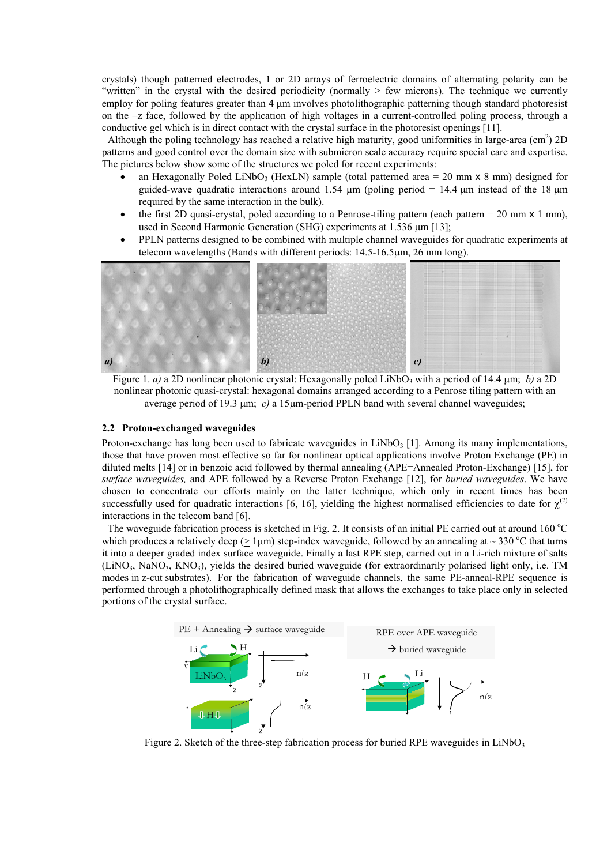crystals) though patterned electrodes, 1 or 2D arrays of ferroelectric domains of alternating polarity can be "written" in the crystal with the desired periodicity (normally > few microns). The technique we currently employ for poling features greater than 4 µm involves photolithographic patterning though standard photoresist on the –z face, followed by the application of high voltages in a current-controlled poling process, through a conductive gel which is in direct contact with the crystal surface in the photoresist openings [11].

Although the poling technology has reached a relative high maturity, good uniformities in large-area  $(cm<sup>2</sup>) 2D$ patterns and good control over the domain size with submicron scale accuracy require special care and expertise. The pictures below show some of the structures we poled for recent experiments:

- an Hexagonally Poled LiNbO<sub>3</sub> (HexLN) sample (total patterned area = 20 mm  $\times$  8 mm) designed for guided-wave quadratic interactions around 1.54  $\mu$ m (poling period = 14.4  $\mu$ m instead of the 18  $\mu$ m required by the same interaction in the bulk).
- the first 2D quasi-crystal, poled according to a Penrose-tiling pattern (each pattern  $= 20$  mm  $\times$  1 mm), used in Second Harmonic Generation (SHG) experiments at 1.536  $\mu$ m [13];
- PPLN patterns designed to be combined with multiple channel waveguides for quadratic experiments at telecom wavelengths (Bands with different periods: 14.5-16.5µm, 26 mm long).



Figure 1. *a*) a 2D nonlinear photonic crystal: Hexagonally poled LiNbO<sub>3</sub> with a period of 14.4  $\mu$ m; *b*) a 2D nonlinear photonic quasi-crystal: hexagonal domains arranged according to a Penrose tiling pattern with an average period of 19.3  $\mu$ m; *c*) a 15 $\mu$ m-period PPLN band with several channel waveguides;

#### **2.2 Proton-exchanged waveguides**

Proton-exchange has long been used to fabricate waveguides in LiNbO<sub>3</sub> [1]. Among its many implementations, those that have proven most effective so far for nonlinear optical applications involve Proton Exchange (PE) in diluted melts [14] or in benzoic acid followed by thermal annealing (APE=Annealed Proton-Exchange) [15], for *surface waveguides,* and APE followed by a Reverse Proton Exchange [12], for *buried waveguides*. We have chosen to concentrate our efforts mainly on the latter technique, which only in recent times has been successfully used for quadratic interactions [6, 16], yielding the highest normalised efficiencies to date for  $\chi^{(2)}$ interactions in the telecom band [6].

The waveguide fabrication process is sketched in Fig. 2. It consists of an initial PE carried out at around  $160^{\circ}$ C which produces a relatively deep ( $\geq 1 \mu m$ ) step-index waveguide, followed by an annealing at  $\sim 330 \text{ °C}$  that turns it into a deeper graded index surface waveguide. Finally a last RPE step, carried out in a Li-rich mixture of salts  $(LINO<sub>3</sub>, NanO<sub>3</sub>, KNO<sub>3</sub>)$ , yields the desired buried waveguide (for extraordinarily polarised light only, i.e. TM modes in z-cut substrates). For the fabrication of waveguide channels, the same PE-anneal-RPE sequence is performed through a photolithographically defined mask that allows the exchanges to take place only in selected portions of the crystal surface.



Figure 2. Sketch of the three-step fabrication process for buried RPE waveguides in  $LiNbO<sub>3</sub>$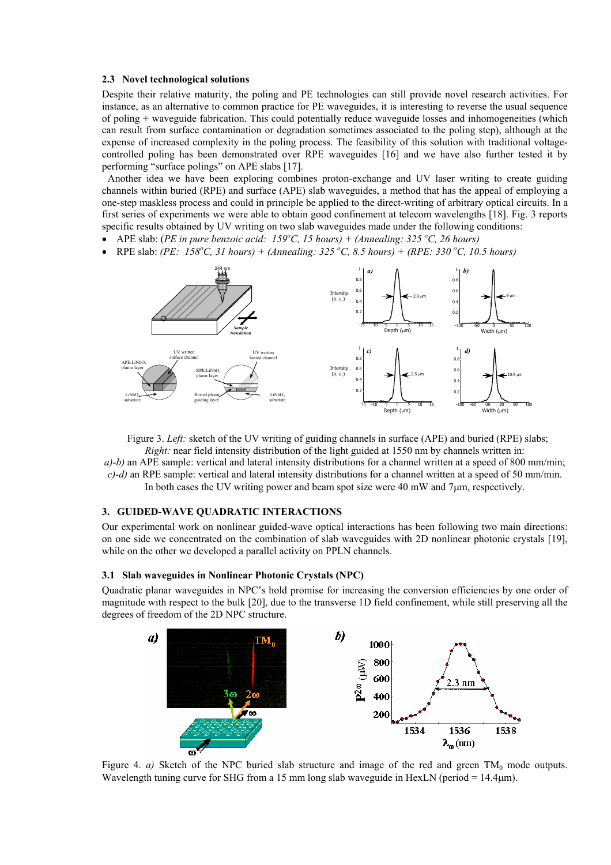#### **2.3 Novel technological solutions**

Despite their relative maturity, the poling and PE technologies can still provide novel research activities. For instance, as an alternative to common practice for PE waveguides, it is interesting to reverse the usual sequence of poling + waveguide fabrication. This could potentially reduce waveguide losses and inhomogeneities (which can result from surface contamination or degradation sometimes associated to the poling step), although at the expense of increased complexity in the poling process. The feasibility of this solution with traditional voltagecontrolled poling has been demonstrated over RPE waveguides [16] and we have also further tested it by performing "surface polings" on APE slabs [17].

Another idea we have been exploring combines proton-exchange and UV laser writing to create guiding channels within buried (RPE) and surface (APE) slab waveguides, a method that has the appeal of employing a one-step maskless process and could in principle be applied to the direct-writing of arbitrary optical circuits. In a first series of experiments we were able to obtain good confinement at telecom wavelengths [18]. Fig. 3 reports specific results obtained by UV writing on two slab waveguides made under the following conditions:

- APE slab: (*PE in pure benzoic acid: 159<sup>o</sup>C, 15 hours*) + (Annealing: 325<sup>o</sup>C, 26 hours)
- RPE slab: *(PE: 158<sup>o</sup>C, 31 hours)* + *(Annealing: 325<sup>o</sup>C, 8.5 hours)* + *(RPE: 330<sup>o</sup>C, 10.5 hours)*



Figure 3. *Left:* sketch of the UV writing of guiding channels in surface (APE) and buried (RPE) slabs; *Right:* near field intensity distribution of the light guided at 1550 nm by channels written in:

*a)-b)* an APE sample: vertical and lateral intensity distributions for a channel written at a speed of 800 mm/min; *c)-d)* an RPE sample: vertical and lateral intensity distributions for a channel written at a speed of 50 mm/min. In both cases the UV writing power and beam spot size were 40 mW and 7µm, respectively.

# **3. GUIDED-WAVE QUADRATIC INTERACTIONS**

Our experimental work on nonlinear guided-wave optical interactions has been following two main directions: on one side we concentrated on the combination of slab waveguides with 2D nonlinear photonic crystals [19], while on the other we developed a parallel activity on PPLN channels.

#### **3.1 Slab waveguides in Nonlinear Photonic Crystals (NPC)**

Quadratic planar waveguides in NPC's hold promise for increasing the conversion efficiencies by one order of magnitude with respect to the bulk [20], due to the transverse 1D field confinement, while still preserving all the degrees of freedom of the 2D NPC structure.



Figure 4. *a*) Sketch of the NPC buried slab structure and image of the red and green  $TM_0$  mode outputs. Wavelength tuning curve for SHG from a 15 mm long slab waveguide in HexLN (period  $= 14.4 \mu m$ ).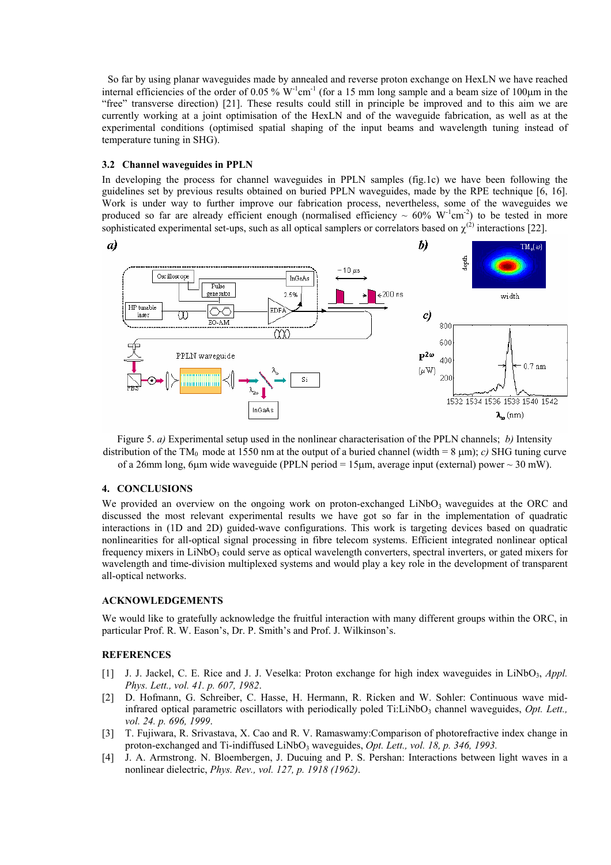So far by using planar waveguides made by annealed and reverse proton exchange on HexLN we have reached internal efficiencies of the order of 0.05 %  $W<sup>-1</sup>cm<sup>-1</sup>$  (for a 15 mm long sample and a beam size of 100 $\mu$ m in the "free" transverse direction) [21]. These results could still in principle be improved and to this aim we are currently working at a joint optimisation of the HexLN and of the waveguide fabrication, as well as at the experimental conditions (optimised spatial shaping of the input beams and wavelength tuning instead of temperature tuning in SHG).

# **3.2 Channel waveguides in PPLN**

In developing the process for channel waveguides in PPLN samples (fig.1c) we have been following the guidelines set by previous results obtained on buried PPLN waveguides, made by the RPE technique [6, 16]. Work is under way to further improve our fabrication process, nevertheless, some of the waveguides we produced so far are already efficient enough (normalised efficiency  $\sim 60\% \text{ W}^{-1} \text{cm}^{-2}$ ) to be tested in more sophisticated experimental set-ups, such as all optical samplers or correlators based on  $\chi^{(2)}$  interactions [22].



Figure 5. *a)* Experimental setup used in the nonlinear characterisation of the PPLN channels; *b)* Intensity distribution of the TM<sub>0</sub> mode at 1550 nm at the output of a buried channel (width = 8  $\mu$ m); *c*) SHG tuning curve of a 26mm long, 6um wide waveguide (PPLN period  $= 15 \mu m$ , average input (external) power  $\sim 30 \text{ mW}$ ).

### **4. CONCLUSIONS**

We provided an overview on the ongoing work on proton-exchanged  $LiNbO<sub>3</sub>$  waveguides at the ORC and discussed the most relevant experimental results we have got so far in the implementation of quadratic interactions in (1D and 2D) guided-wave configurations. This work is targeting devices based on quadratic nonlinearities for all-optical signal processing in fibre telecom systems. Efficient integrated nonlinear optical frequency mixers in LiNbO<sub>3</sub> could serve as optical wavelength converters, spectral inverters, or gated mixers for wavelength and time-division multiplexed systems and would play a key role in the development of transparent all-optical networks.

# **ACKNOWLEDGEMENTS**

We would like to gratefully acknowledge the fruitful interaction with many different groups within the ORC, in particular Prof. R. W. Eason's, Dr. P. Smith's and Prof. J. Wilkinson's.

# **REFERENCES**

- [1] J. J. Jackel, C. E. Rice and J. J. Veselka: Proton exchange for high index waveguides in LiNbO<sub>3</sub>, *Appl. Phys. Lett., vol. 41. p. 607, 1982*.
- [2] D. Hofmann, G. Schreiber, C. Hasse, H. Hermann, R. Ricken and W. Sohler: Continuous wave midinfrared optical parametric oscillators with periodically poled Ti:LiNbO<sub>3</sub> channel waveguides, *Opt. Lett.*, *vol. 24. p. 696, 1999*.
- [3] T. Fujiwara, R. Srivastava, X. Cao and R. V. Ramaswamy:Comparison of photorefractive index change in proton-exchanged and Ti-indiffused LiNbO<sub>3</sub> waveguides, *Opt. Lett., vol. 18, p. 346, 1993.*
- [4] J. A. Armstrong. N. Bloembergen, J. Ducuing and P. S. Pershan: Interactions between light waves in a nonlinear dielectric, *Phys. Rev., vol. 127, p. 1918 (1962)*.